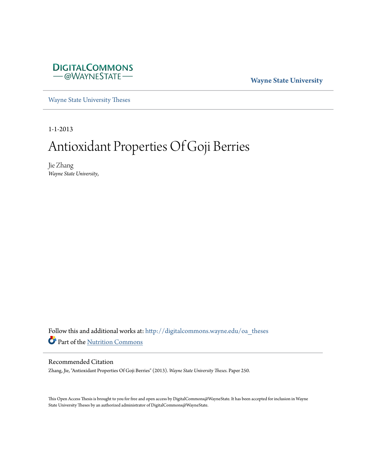

**Wayne State University**

[Wayne State University Theses](http://digitalcommons.wayne.edu/oa_theses?utm_source=digitalcommons.wayne.edu%2Foa_theses%2F250&utm_medium=PDF&utm_campaign=PDFCoverPages)

1-1-2013

# Antioxidant Properties Of Goji Berries

Jie Zhang *Wayne State University*,

Follow this and additional works at: [http://digitalcommons.wayne.edu/oa\\_theses](http://digitalcommons.wayne.edu/oa_theses?utm_source=digitalcommons.wayne.edu%2Foa_theses%2F250&utm_medium=PDF&utm_campaign=PDFCoverPages) Part of the [Nutrition Commons](http://network.bepress.com/hgg/discipline/95?utm_source=digitalcommons.wayne.edu%2Foa_theses%2F250&utm_medium=PDF&utm_campaign=PDFCoverPages)

#### Recommended Citation

Zhang, Jie, "Antioxidant Properties Of Goji Berries" (2013). *Wayne State University Theses.* Paper 250.

This Open Access Thesis is brought to you for free and open access by DigitalCommons@WayneState. It has been accepted for inclusion in Wayne State University Theses by an authorized administrator of DigitalCommons@WayneState.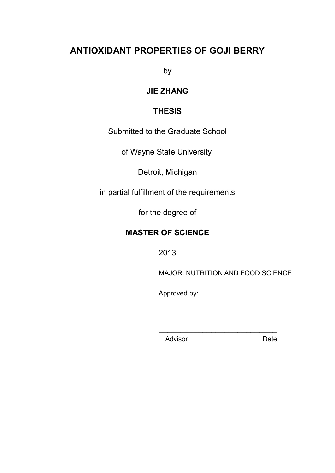## **ANTIOXIDANT PROPERTIES OF GOJI BERRY**

by

## **JIE ZHANG**

## **THESIS**

Submitted to the Graduate School

of Wayne State University,

Detroit, Michigan

in partial fulfillment of the requirements

for the degree of

## **MASTER OF SCIENCE**

2013

MAJOR: NUTRITION AND FOOD SCIENCE

Approved by:

**Advisor** Date

\_\_\_\_\_\_\_\_\_\_\_\_\_\_\_\_\_\_\_\_\_\_\_\_\_\_\_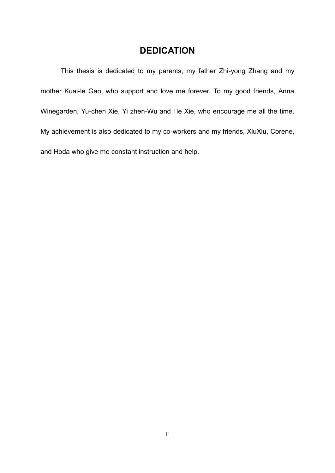## **DEDICATION**

This thesis is dedicated to my parents, my father Zhi-yong Zhang and my mother Kuai-le Gao, who support and love me forever. To my good friends, Anna Winegarden, Yu-chen Xie, Yi zhen-Wu and He Xie, who encourage me all the time. My achievement is also dedicated to my co-workers and my friends, XiuXiu, Corene, and Hoda who give me constant instruction and help.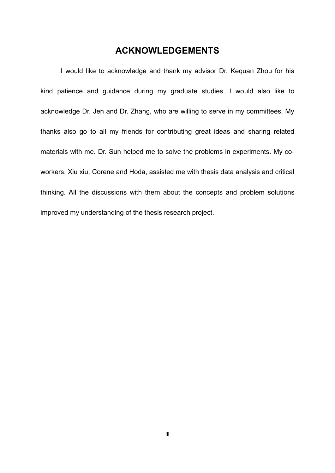## **ACKNOWLEDGEMENTS**

I would like to acknowledge and thank my advisor Dr. Kequan Zhou for his kind patience and guidance during my graduate studies. I would also like to acknowledge Dr. Jen and Dr. Zhang, who are willing to serve in my committees. My thanks also go to all my friends for contributing great ideas and sharing related materials with me. Dr. Sun helped me to solve the problems in experiments. My coworkers, Xiu xiu, Corene and Hoda, assisted me with thesis data analysis and critical thinking. All the discussions with them about the concepts and problem solutions improved my understanding of the thesis research project.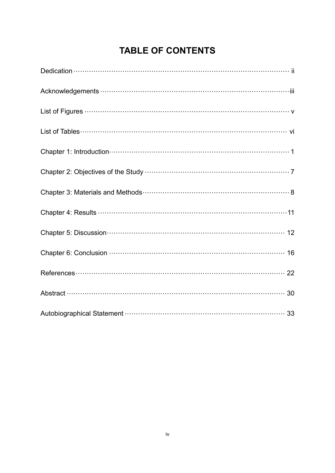## **TABLE OF CONTENTS**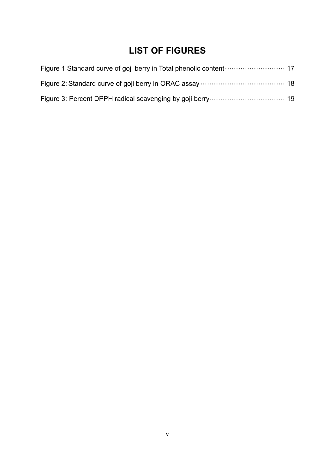## **LIST OF FIGURES**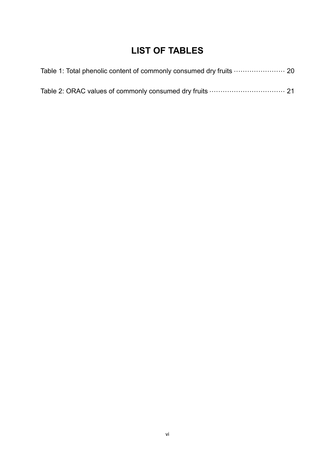## **LIST OF TABLES**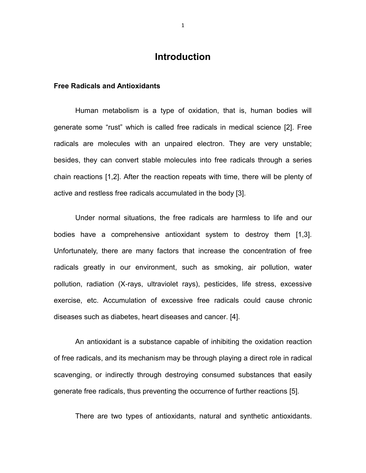## **Introduction**

#### **Free Radicals and Antioxidants**

Human metabolism is a type of oxidation, that is, human bodies will generate some "rust" which is called free radicals in medical science [2]. Free radicals are molecules with an unpaired electron. They are very unstable; besides, they can convert stable molecules into free radicals through a series chain reactions [1,2]. After the reaction repeats with time, there will be plenty of active and restless free radicals accumulated in the body [3].

Under normal situations, the free radicals are harmless to life and our bodies have a comprehensive antioxidant system to destroy them [1,3]. Unfortunately, there are many factors that increase the concentration of free radicals greatly in our environment, such as smoking, air pollution, water pollution, radiation (X-rays, ultraviolet rays), pesticides, life stress, excessive exercise, etc. Accumulation of excessive free radicals could cause chronic diseases such as diabetes, heart diseases and cancer. [4].

An antioxidant is a substance capable of inhibiting the oxidation reaction of free radicals, and its mechanism may be through playing a direct role in radical scavenging, or indirectly through destroying consumed substances that easily generate free radicals, thus preventing the occurrence of further reactions [5].

There are two types of antioxidants, natural and synthetic antioxidants.

1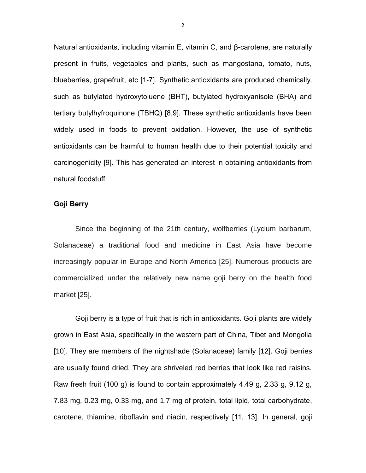Natural antioxidants, including vitamin E, vitamin C, and β-carotene, are naturally present in fruits, vegetables and plants, such as mangostana, tomato, nuts, blueberries, grapefruit, etc [1-7]. Synthetic antioxidants are produced chemically, such as butylated hydroxytoluene (BHT), butylated hydroxyanisole (BHA) and tertiary butylhyfroquinone (TBHQ) [8,9]. These synthetic antioxidants have been widely used in foods to prevent oxidation. However, the use of synthetic antioxidants can be harmful to human health due to their potential toxicity and carcinogenicity [9]. This has generated an interest in obtaining antioxidants from natural foodstuff.

#### **Goji Berry**

Since the beginning of the 21th century, wolfberries (Lycium barbarum, Solanaceae) a traditional food and medicine in East Asia have become increasingly popular in Europe and North America [25]. Numerous products are commercialized under the relatively new name goji berry on the health food market [25].

Goji berry is a type of fruit that is rich in antioxidants. Goji plants are widely grown in East Asia, specifically in the western part of China, Tibet and Mongolia [10]. They are members of the nightshade (Solanaceae) family [12]. Goji berries are usually found dried. They are shriveled red berries that look like red raisins. Raw fresh fruit (100 g) is found to contain approximately 4.49 g, 2.33 g, 9.12 g, 7.83 mg, 0.23 mg, 0.33 mg, and 1.7 mg of protein, total lipid, total carbohydrate, carotene, thiamine, riboflavin and niacin, respectively [11, 13]. In general, goji

2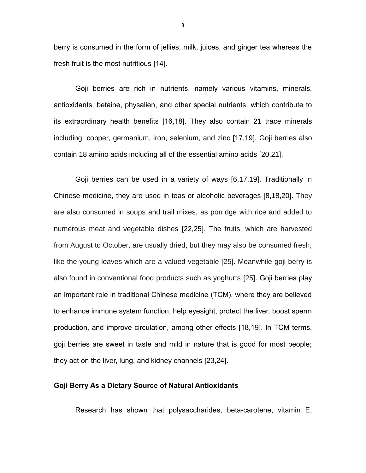berry is consumed in the form of jellies, milk, juices, and ginger tea whereas the fresh fruit is the most nutritious [14].

Goji berries are rich in nutrients, namely various vitamins, minerals, antioxidants, betaine, physalien, and other special nutrients, which contribute to its extraordinary health benefits [16,18]. They also contain 21 trace minerals including: copper, germanium, iron, selenium, and zinc [17,19]. Goji berries also contain 18 amino acids including all of the essential amino acids [20,21].

Goji berries can be used in a variety of ways [6,17,19]. Traditionally in Chinese medicine, they are used in teas or alcoholic beverages [8,18,20]. They are also consumed in soups and trail mixes, as porridge with rice and added to numerous meat and vegetable dishes [22,25]. The fruits, which are harvested from August to October, are usually dried, but they may also be consumed fresh, like the young leaves which are a valued vegetable [25]. Meanwhile goji berry is also found in conventional food products such as yoghurts [25]. Goji berries play an important role in traditional Chinese medicine (TCM), where they are believed to enhance immune system function, help eyesight, protect the liver, boost sperm production, and improve circulation, among other effects [18,19]. In TCM terms, goji berries are sweet in taste and mild in nature that is good for most people; they act on the liver, lung, and kidney channels [23,24].

#### **Goji Berry As a Dietary Source of Natural Antioxidants**

Research has shown that polysaccharides, beta-carotene, vitamin E,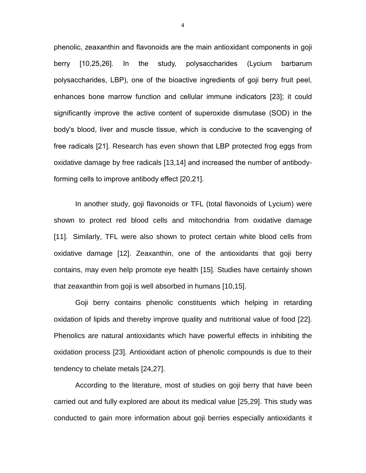phenolic, zeaxanthin and flavonoids are the main antioxidant components in goji berry [10,25,26]. In the study, polysaccharides (Lycium barbarum polysaccharides, LBP), one of the bioactive ingredients of goji berry fruit peel, enhances bone marrow function and cellular immune indicators [23]; it could significantly improve the active content of superoxide dismutase (SOD) in the body's blood, liver and muscle tissue, which is conducive to the scavenging of free radicals [21]. Research has even shown that LBP protected frog eggs from oxidative damage by free radicals [13,14] and increased the number of antibodyforming cells to improve antibody effect [20,21].

In another study, goji flavonoids or TFL (total flavonoids of Lycium) were shown to protect red blood cells and mitochondria from oxidative damage [11]. Similarly, TFL were also shown to protect certain white blood cells from oxidative damage [12]. Zeaxanthin, one of the antioxidants that goji berry contains, may even help promote eye health [15]. Studies have certainly shown that zeaxanthin from goji is well absorbed in humans [10,15].

Goji berry contains phenolic constituents which helping in retarding oxidation of lipids and thereby improve quality and nutritional value of food [22]. Phenolics are natural antioxidants which have powerful effects in inhibiting the oxidation process [23]. Antioxidant action of phenolic compounds is due to their tendency to chelate metals [24,27].

According to the literature, most of studies on goji berry that have been carried out and fully explored are about its medical value [25,29]. This study was conducted to gain more information about goji berries especially antioxidants it

4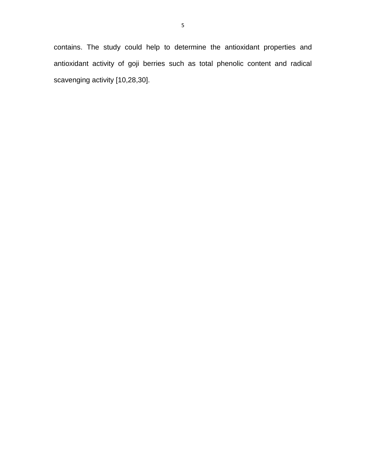contains. The study could help to determine the antioxidant properties and antioxidant activity of goji berries such as total phenolic content and radical scavenging activity [10,28,30].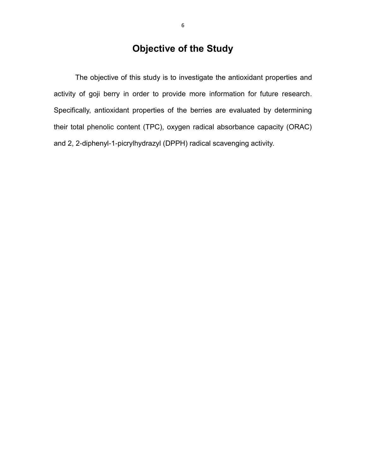## **Objective of the Study**

The objective of this study is to investigate the antioxidant properties and activity of goji berry in order to provide more information for future research. Specifically, antioxidant properties of the berries are evaluated by determining their total phenolic content (TPC), oxygen radical absorbance capacity (ORAC) and 2, 2-diphenyl-1-picrylhydrazyl (DPPH) radical scavenging activity.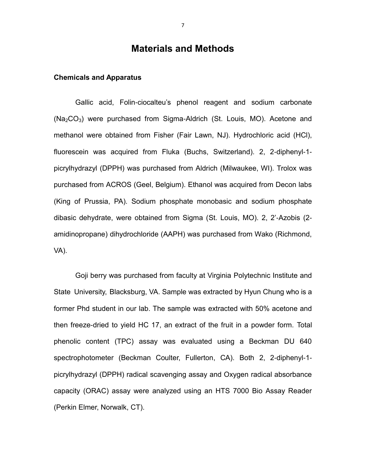### **Materials and Methods**

#### **Chemicals and Apparatus**

Gallic acid, Folin-ciocalteu's phenol reagent and sodium carbonate  $(Na<sub>2</sub>CO<sub>3</sub>)$  were purchased from Sigma-Aldrich (St. Louis, MO). Acetone and methanol were obtained from Fisher (Fair Lawn, NJ). Hydrochloric acid (HCl), fluorescein was acquired from Fluka (Buchs, Switzerland). 2, 2-diphenyl-1 picrylhydrazyl (DPPH) was purchased from Aldrich (Milwaukee, WI). Trolox was purchased from ACROS (Geel, Belgium). Ethanol was acquired from Decon labs (King of Prussia, PA). Sodium phosphate monobasic and sodium phosphate dibasic dehydrate, were obtained from Sigma (St. Louis, MO). 2, 2'-Azobis (2 amidinopropane) dihydrochloride (AAPH) was purchased from Wako (Richmond, VA).

Goji berry was purchased from faculty at Virginia Polytechnic Institute and State University, Blacksburg, VA. Sample was extracted by Hyun Chung who is a former Phd student in our lab. The sample was extracted with 50% acetone and then freeze-dried to yield HC 17, an extract of the fruit in a powder form. Total phenolic content (TPC) assay was evaluated using a Beckman DU 640 spectrophotometer (Beckman Coulter, Fullerton, CA). Both 2, 2-diphenyl-1 picrylhydrazyl (DPPH) radical scavenging assay and Oxygen radical absorbance capacity (ORAC) assay were analyzed using an HTS 7000 Bio Assay Reader (Perkin Elmer, Norwalk, CT).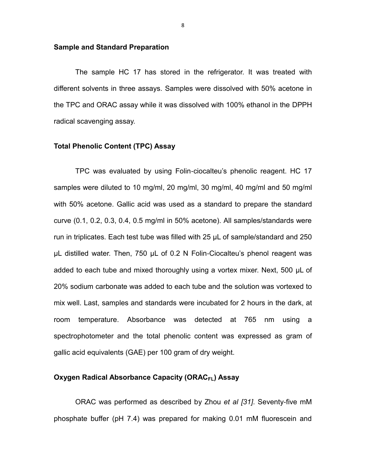#### **Sample and Standard Preparation**

The sample HC 17 has stored in the refrigerator. It was treated with different solvents in three assays. Samples were dissolved with 50% acetone in the TPC and ORAC assay while it was dissolved with 100% ethanol in the DPPH radical scavenging assay.

#### **Total Phenolic Content (TPC) Assay**

TPC was evaluated by using Folin-ciocalteu's phenolic reagent. HC 17 samples were diluted to 10 mg/ml, 20 mg/ml, 30 mg/ml, 40 mg/ml and 50 mg/ml with 50% acetone. Gallic acid was used as a standard to prepare the standard curve (0.1, 0.2, 0.3, 0.4, 0.5 mg/ml in 50% acetone). All samples/standards were run in triplicates. Each test tube was filled with 25 μL of sample/standard and 250 μL distilled water. Then, 750 μL of 0.2 N Folin-Ciocalteu's phenol reagent was added to each tube and mixed thoroughly using a vortex mixer. Next, 500 μL of 20% sodium carbonate was added to each tube and the solution was vortexed to mix well. Last, samples and standards were incubated for 2 hours in the dark, at room temperature. Absorbance was detected at 765 nm using a spectrophotometer and the total phenolic content was expressed as gram of gallic acid equivalents (GAE) per 100 gram of dry weight.

#### **Oxygen Radical Absorbance Capacity (ORACFL) Assay**

ORAC was performed as described by Zhou *et al [31]*. Seventy-five mM phosphate buffer (pH 7.4) was prepared for making 0.01 mM fluorescein and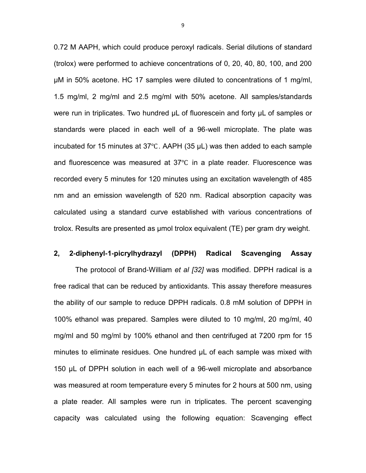0.72 M AAPH, which could produce peroxyl radicals. Serial dilutions of standard (trolox) were performed to achieve concentrations of 0, 20, 40, 80, 100, and 200 μM in 50% acetone. HC 17 samples were diluted to concentrations of 1 mg/ml, 1.5 mg/ml, 2 mg/ml and 2.5 mg/ml with 50% acetone. All samples/standards were run in triplicates. Two hundred μL of fluorescein and forty μL of samples or standards were placed in each well of a 96-well microplate. The plate was incubated for 15 minutes at 37℃. AAPH (35 μL) was then added to each sample and fluorescence was measured at 37℃ in a plate reader. Fluorescence was recorded every 5 minutes for 120 minutes using an excitation wavelength of 485 nm and an emission wavelength of 520 nm. Radical absorption capacity was calculated using a standard curve established with various concentrations of trolox. Results are presented as μmol trolox equivalent (TE) per gram dry weight.

#### **2, 2-diphenyl-1-picrylhydrazyl (DPPH) Radical Scavenging Assay**

The protocol of Brand-William *et al [32]* was modified. DPPH radical is a free radical that can be reduced by antioxidants. This assay therefore measures the ability of our sample to reduce DPPH radicals. 0.8 mM solution of DPPH in 100% ethanol was prepared. Samples were diluted to 10 mg/ml, 20 mg/ml, 40 mg/ml and 50 mg/ml by 100% ethanol and then centrifuged at 7200 rpm for 15 minutes to eliminate residues. One hundred μL of each sample was mixed with 150 μL of DPPH solution in each well of a 96-well microplate and absorbance was measured at room temperature every 5 minutes for 2 hours at 500 nm, using a plate reader. All samples were run in triplicates. The percent scavenging capacity was calculated using the following equation: Scavenging effect

9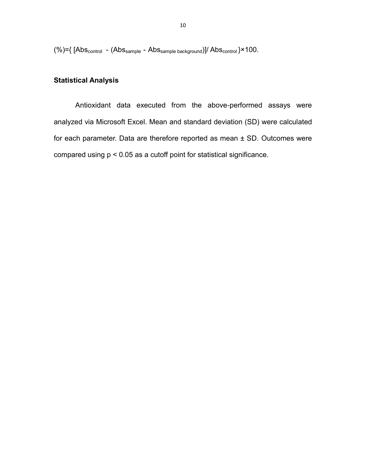$(%)={[Abs_{control} - (Abs_{sample} - Abs_{sample \ background})]/Abs_{control}}$  \*100.

### **Statistical Analysis**

Antioxidant data executed from the above-performed assays were analyzed via Microsoft Excel. Mean and standard deviation (SD) were calculated for each parameter. Data are therefore reported as mean ± SD. Outcomes were compared using p < 0.05 as a cutoff point for statistical significance.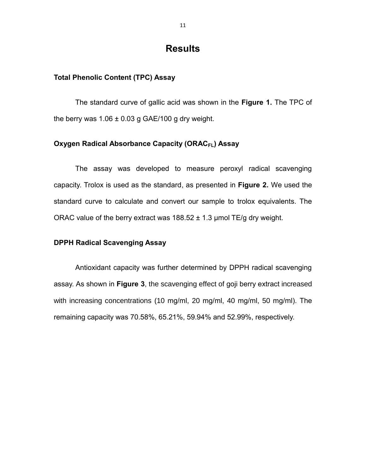## **Results**

#### **Total Phenolic Content (TPC) Assay**

The standard curve of gallic acid was shown in the **Figure 1.** The TPC of the berry was  $1.06 \pm 0.03$  g GAE/100 g dry weight.

#### **Oxygen Radical Absorbance Capacity (ORAC<sub>FL</sub>) Assay**

The assay was developed to measure peroxyl radical scavenging capacity. Trolox is used as the standard, as presented in **Figure 2.** We used the standard curve to calculate and convert our sample to trolox equivalents. The ORAC value of the berry extract was  $188.52 \pm 1.3$  µmol TE/g dry weight.

#### **DPPH Radical Scavenging Assay**

Antioxidant capacity was further determined by DPPH radical scavenging assay. As shown in **Figure 3**, the scavenging effect of goji berry extract increased with increasing concentrations (10 mg/ml, 20 mg/ml, 40 mg/ml, 50 mg/ml). The remaining capacity was 70.58%, 65.21%, 59.94% and 52.99%, respectively.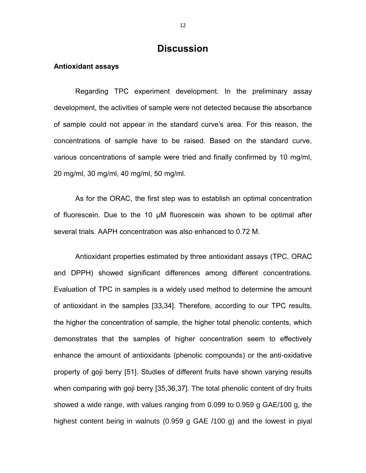## **Discussion**

#### **Antioxidant assays**

Regarding TPC experiment development. In the preliminary assay development, the activities of sample were not detected because the absorbance of sample could not appear in the standard curve's area. For this reason, the concentrations of sample have to be raised. Based on the standard curve, various concentrations of sample were tried and finally confirmed by 10 mg/ml, 20 mg/ml, 30 mg/ml, 40 mg/ml, 50 mg/ml.

As for the ORAC, the first step was to establish an optimal concentration of fluorescein. Due to the 10 μM fluorescein was shown to be optimal after several trials. AAPH concentration was also enhanced to 0.72 M.

Antioxidant properties estimated by three antioxidant assays (TPC, ORAC and DPPH) showed significant differences among different concentrations. Evaluation of TPC in samples is a widely used method to determine the amount of antioxidant in the samples [33,34]. Therefore, according to our TPC results, the higher the concentration of sample, the higher total phenolic contents, which demonstrates that the samples of higher concentration seem to effectively enhance the amount of antioxidants (phenolic compounds) or the anti-oxidative property of goji berry [51]. Studies of different fruits have shown varying results when comparing with goji berry [35,36,37]. The total phenolic content of dry fruits showed a wide range, with values ranging from 0.099 to 0.959 g GAE/100 g, the highest content being in walnuts (0.959 g GAE /100 g) and the lowest in piyal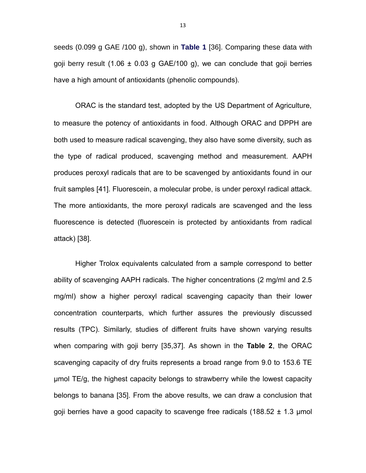seeds (0.099 g GAE /100 g), shown in **Table 1** [36]. Comparing these data with goji berry result  $(1.06 \pm 0.03 \text{ g} \text{ GAE}/100 \text{ g})$ , we can conclude that goji berries have a high amount of antioxidants (phenolic compounds).

ORAC is the standard test, adopted by the US Department of Agriculture, to measure the potency of antioxidants in food. Although ORAC and DPPH are both used to measure radical scavenging, they also have some diversity, such as the type of radical produced, scavenging method and measurement. AAPH produces peroxyl radicals that are to be scavenged by antioxidants found in our fruit samples [41]. Fluorescein, a molecular probe, is under peroxyl radical attack. The more antioxidants, the more peroxyl radicals are scavenged and the less fluorescence is detected (fluorescein is protected by antioxidants from radical attack) [38].

Higher Trolox equivalents calculated from a sample correspond to better ability of scavenging AAPH radicals. The higher concentrations (2 mg/ml and 2.5 mg/ml) show a higher peroxyl radical scavenging capacity than their lower concentration counterparts, which further assures the previously discussed results (TPC). Similarly, studies of different fruits have shown varying results when comparing with goji berry [35,37]. As shown in the **Table 2**, the ORAC scavenging capacity of dry fruits represents a broad range from 9.0 to 153.6 TE µmol TE/g, the highest capacity belongs to strawberry while the lowest capacity belongs to banana [35]. From the above results, we can draw a conclusion that goji berries have a good capacity to scavenge free radicals (188.52  $\pm$  1.3 µmol

13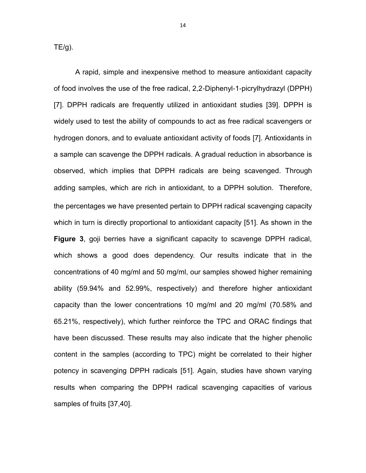$TE/g$ ).

A rapid, simple and inexpensive method to measure antioxidant capacity of food involves the use of the free radical, 2,2-Diphenyl-1-picrylhydrazyl (DPPH) [7]. DPPH radicals are frequently utilized in antioxidant studies [39]. DPPH is widely used to test the ability of compounds to act as free radical scavengers or hydrogen donors, and to evaluate antioxidant activity of foods [7]. Antioxidants in a sample can scavenge the DPPH radicals. A gradual reduction in absorbance is observed, which implies that DPPH radicals are being scavenged. Through adding samples, which are rich in antioxidant, to a DPPH solution. Therefore, the percentages we have presented pertain to DPPH radical scavenging capacity which in turn is directly proportional to antioxidant capacity [51]. As shown in the **Figure 3**, goji berries have a significant capacity to scavenge DPPH radical, which shows a good does dependency. Our results indicate that in the concentrations of 40 mg/ml and 50 mg/ml, our samples showed higher remaining ability (59.94% and 52.99%, respectively) and therefore higher antioxidant capacity than the lower concentrations 10 mg/ml and 20 mg/ml (70.58% and 65.21%, respectively), which further reinforce the TPC and ORAC findings that have been discussed. These results may also indicate that the higher phenolic content in the samples (according to TPC) might be correlated to their higher potency in scavenging DPPH radicals [51]. Again, studies have shown varying results when comparing the DPPH radical scavenging capacities of various samples of fruits [37,40].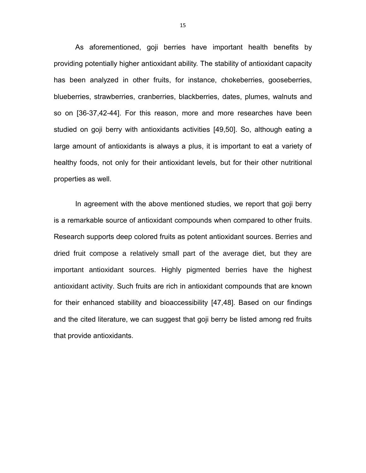As aforementioned, goji berries have important health benefits by providing potentially higher antioxidant ability. The stability of antioxidant capacity has been analyzed in other fruits, for instance, chokeberries, gooseberries, blueberries, strawberries, cranberries, blackberries, dates, plumes, walnuts and so on [36-37,42-44]. For this reason, more and more researches have been studied on goji berry with antioxidants activities [49,50]. So, although eating a large amount of antioxidants is always a plus, it is important to eat a variety of healthy foods, not only for their antioxidant levels, but for their other nutritional properties as well.

In agreement with the above mentioned studies, we report that goji berry is a remarkable source of antioxidant compounds when compared to other fruits. Research supports deep colored fruits as potent antioxidant sources. Berries and dried fruit compose a relatively small part of the average diet, but they are important antioxidant sources. Highly pigmented berries have the highest antioxidant activity. Such fruits are rich in antioxidant compounds that are known for their enhanced stability and bioaccessibility [47,48]. Based on our findings and the cited literature, we can suggest that goji berry be listed among red fruits that provide antioxidants.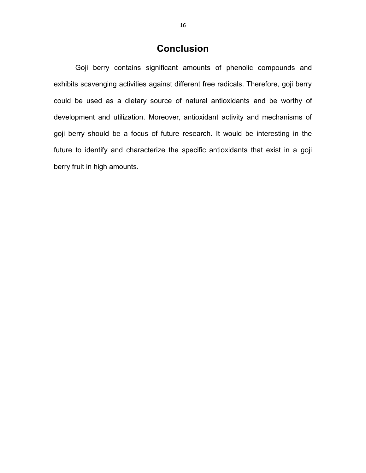## **Conclusion**

Goji berry contains significant amounts of phenolic compounds and exhibits scavenging activities against different free radicals. Therefore, goji berry could be used as a dietary source of natural antioxidants and be worthy of development and utilization. Moreover, antioxidant activity and mechanisms of goji berry should be a focus of future research. It would be interesting in the future to identify and characterize the specific antioxidants that exist in a goji berry fruit in high amounts.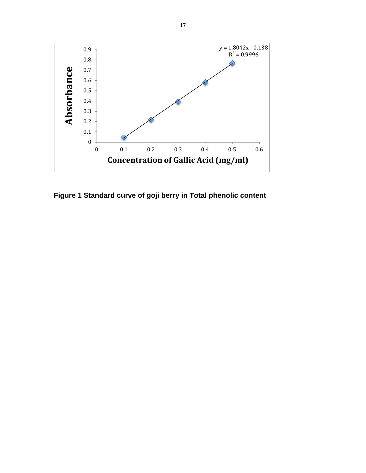

**Figure 1 Standard curve of goji berry in Total phenolic content**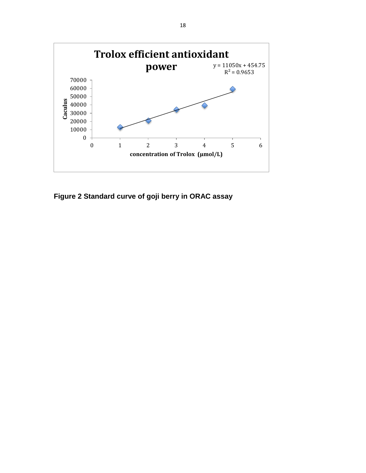

**Figure 2 Standard curve of goji berry in ORAC assay**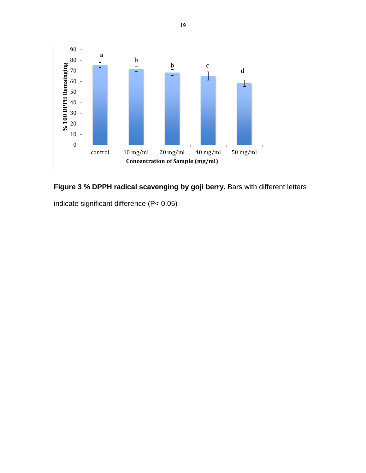



indicate significant difference (P< 0.05)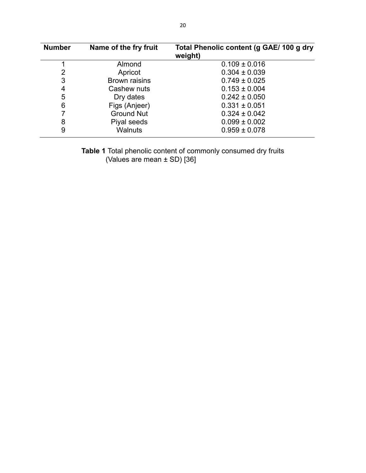| <b>Number</b> | Name of the fry fruit | Total Phenolic content (g GAE/ 100 g dry<br>weight) |
|---------------|-----------------------|-----------------------------------------------------|
|               | Almond                | $0.109 \pm 0.016$                                   |
| 2             | Apricot               | $0.304 \pm 0.039$                                   |
| 3             | <b>Brown raisins</b>  | $0.749 \pm 0.025$                                   |
| 4             | Cashew nuts           | $0.153 \pm 0.004$                                   |
| 5             | Dry dates             | $0.242 \pm 0.050$                                   |
| 6             | Figs (Anjeer)         | $0.331 \pm 0.051$                                   |
|               | <b>Ground Nut</b>     | $0.324 \pm 0.042$                                   |
| 8             | Piyal seeds           | $0.099 \pm 0.002$                                   |
| 9             | <b>Walnuts</b>        | $0.959 \pm 0.078$                                   |

**Table 1** Total phenolic content of commonly consumed dry fruits (Values are mean ± SD) [36]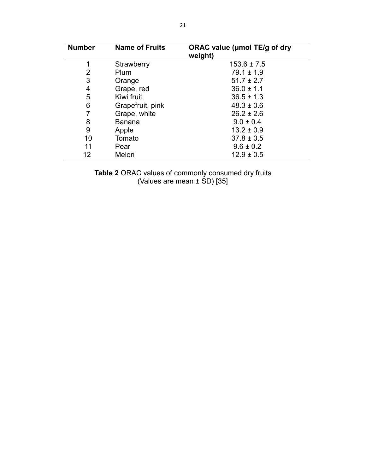| <b>Number</b> | <b>Name of Fruits</b> | ORAC value (umol TE/g of dry<br>weight) |
|---------------|-----------------------|-----------------------------------------|
| 1             | Strawberry            | $153.6 \pm 7.5$                         |
| 2             | Plum                  | $79.1 \pm 1.9$                          |
| 3             | Orange                | $51.7 \pm 2.7$                          |
| 4             | Grape, red            | $36.0 \pm 1.1$                          |
| 5             | Kiwi fruit            | $36.5 \pm 1.3$                          |
| 6             | Grapefruit, pink      | $48.3 \pm 0.6$                          |
|               | Grape, white          | $26.2 \pm 2.6$                          |
| 8             | Banana                | $9.0 \pm 0.4$                           |
| 9             | Apple                 | $13.2 \pm 0.9$                          |
| 10            | Tomato                | $37.8 \pm 0.5$                          |
| 11            | Pear                  | $9.6 \pm 0.2$                           |
| 12            | Melon                 | $12.9 \pm 0.5$                          |

**Table 2** ORAC values of commonly consumed dry fruits (Values are mean ± SD) [35]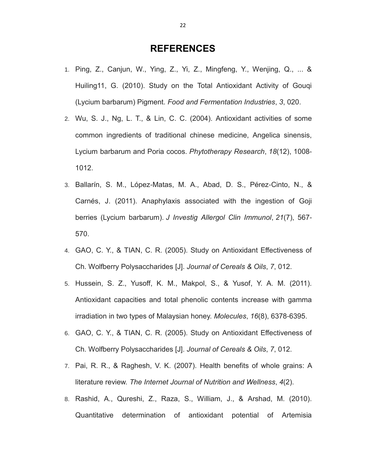### **REFERENCES**

- 1. Ping, Z., Canjun, W., Ying, Z., Yi, Z., Mingfeng, Y., Wenjing, Q., ... & Huiling11, G. (2010). Study on the Total Antioxidant Activity of Gouqi (Lycium barbarum) Pigment. *Food and Fermentation Industries*, *3*, 020.
- 2. Wu, S. J., Ng, L. T., & Lin, C. C. (2004). Antioxidant activities of some common ingredients of traditional chinese medicine, Angelica sinensis, Lycium barbarum and Poria cocos. *Phytotherapy Research*, *18*(12), 1008- 1012.
- 3. Ballarín, S. M., López-Matas, M. A., Abad, D. S., Pérez-Cinto, N., & Carnés, J. (2011). Anaphylaxis associated with the ingestion of Goji berries (Lycium barbarum). *J Investig Allergol Clin Immunol*, *21*(7), 567- 570.
- 4. GAO, C. Y., & TIAN, C. R. (2005). Study on Antioxidant Effectiveness of Ch. Wolfberry Polysaccharides [J]. *Journal of Cereals & Oils*, *7*, 012.
- 5. Hussein, S. Z., Yusoff, K. M., Makpol, S., & Yusof, Y. A. M. (2011). Antioxidant capacities and total phenolic contents increase with gamma irradiation in two types of Malaysian honey. *Molecules*, *16*(8), 6378-6395.
- 6. GAO, C. Y., & TIAN, C. R. (2005). Study on Antioxidant Effectiveness of Ch. Wolfberry Polysaccharides [J]. *Journal of Cereals & Oils*, *7*, 012.
- 7. Pai, R. R., & Raghesh, V. K. (2007). Health benefits of whole grains: A literature review. *The Internet Journal of Nutrition and Wellness*, *4*(2).
- 8. Rashid, A., Qureshi, Z., Raza, S., William, J., & Arshad, M. (2010). Quantitative determination of antioxidant potential of Artemisia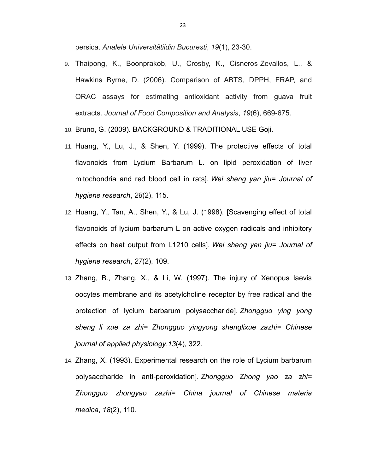persica. *Analele Universitãtiidin Bucuresti*, *19*(1), 23-30.

- 9. Thaipong, K., Boonprakob, U., Crosby, K., Cisneros-Zevallos, L., & Hawkins Byrne, D. (2006). Comparison of ABTS, DPPH, FRAP, and ORAC assays for estimating antioxidant activity from guava fruit extracts. *Journal of Food Composition and Analysis*, *19*(6), 669-675.
- 10. Bruno, G. (2009). BACKGROUND & TRADITIONAL USE Goji.
- 11. Huang, Y., Lu, J., & Shen, Y. (1999). The protective effects of total flavonoids from Lycium Barbarum L. on lipid peroxidation of liver mitochondria and red blood cell in rats]. *Wei sheng yan jiu= Journal of hygiene research*, *28*(2), 115.
- 12. Huang, Y., Tan, A., Shen, Y., & Lu, J. (1998). [Scavenging effect of total flavonoids of lycium barbarum L on active oxygen radicals and inhibitory effects on heat output from L1210 cells]. *Wei sheng yan jiu= Journal of hygiene research*, *27*(2), 109.
- 13. Zhang, B., Zhang, X., & Li, W. (1997). The injury of Xenopus laevis oocytes membrane and its acetylcholine receptor by free radical and the protection of lycium barbarum polysaccharide]. *Zhongguo ying yong sheng li xue za zhi= Zhongguo yingyong shenglixue zazhi= Chinese journal of applied physiology*,*13*(4), 322.
- 14. Zhang, X. (1993). Experimental research on the role of Lycium barbarum polysaccharide in anti-peroxidation]. *Zhongguo Zhong yao za zhi= Zhongguo zhongyao zazhi= China journal of Chinese materia medica*, *18*(2), 110.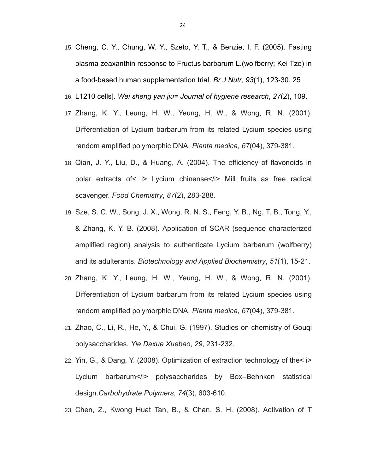- 15. Cheng, C. Y., Chung, W. Y., Szeto, Y. T., & Benzie, I. F. (2005). Fasting plasma zeaxanthin response to Fructus barbarum L.(wolfberry; Kei Tze) in a food-based human supplementation trial. *Br J Nutr*, *93*(1), 123-30. 25
- 16. L1210 cells]. *Wei sheng yan jiu= Journal of hygiene research*, *27*(2), 109.
- 17. Zhang, K. Y., Leung, H. W., Yeung, H. W., & Wong, R. N. (2001). Differentiation of Lycium barbarum from its related Lycium species using random amplified polymorphic DNA. *Planta medica*, *67*(04), 379-381.
- 18. Qian, J. Y., Liu, D., & Huang, A. (2004). The efficiency of flavonoids in polar extracts of< i> Lycium chinense</i> Mill fruits as free radical scavenger. *Food Chemistry*, *87*(2), 283-288.
- 19. Sze, S. C. W., Song, J. X., Wong, R. N. S., Feng, Y. B., Ng, T. B., Tong, Y., & Zhang, K. Y. B. (2008). Application of SCAR (sequence characterized amplified region) analysis to authenticate Lycium barbarum (wolfberry) and its adulterants. *Biotechnology and Applied Biochemistry*, *51*(1), 15-21.
- 20. Zhang, K. Y., Leung, H. W., Yeung, H. W., & Wong, R. N. (2001). Differentiation of Lycium barbarum from its related Lycium species using random amplified polymorphic DNA. *Planta medica*, *67*(04), 379-381.
- 21. Zhao, C., Li, R., He, Y., & Chui, G. (1997). Studies on chemistry of Gouqi polysaccharides. *Yie Daxue Xuebao*, *29*, 231-232.
- 22. Yin, G., & Dang, Y. (2008). Optimization of extraction technology of the< i> Lycium barbarum</i> polysaccharides by Box–Behnken statistical design.*Carbohydrate Polymers*, *74*(3), 603-610.
- 23. Chen, Z., Kwong Huat Tan, B., & Chan, S. H. (2008). Activation of T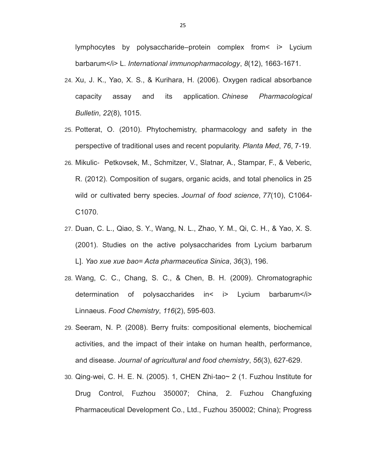lymphocytes by polysaccharide–protein complex from< i> Lycium barbarum</i> L. *International immunopharmacology*, 8(12), 1663-1671.

- 24. Xu, J. K., Yao, X. S., & Kurihara, H. (2006). Oxygen radical absorbance capacity assay and its application. *Chinese Pharmacological Bulletin*, *22*(8), 1015.
- 25. Potterat, O. (2010). Phytochemistry, pharmacology and safety in the perspective of traditional uses and recent popularity. *Planta Med*, *76*, 7-19.
- 26. Mikulic‐ Petkovsek, M., Schmitzer, V., Slatnar, A., Stampar, F., & Veberic, R. (2012). Composition of sugars, organic acids, and total phenolics in 25 wild or cultivated berry species. *Journal of food science*, *77*(10), C1064- C1070.
- 27. Duan, C. L., Qiao, S. Y., Wang, N. L., Zhao, Y. M., Qi, C. H., & Yao, X. S. (2001). Studies on the active polysaccharides from Lycium barbarum L]. *Yao xue xue bao= Acta pharmaceutica Sinica*, *36*(3), 196.
- 28. Wang, C. C., Chang, S. C., & Chen, B. H. (2009). Chromatographic determination of polysaccharides in< i> Lycium barbarum</i> Linnaeus. *Food Chemistry*, *116*(2), 595-603.
- 29. Seeram, N. P. (2008). Berry fruits: compositional elements, biochemical activities, and the impact of their intake on human health, performance, and disease. *Journal of agricultural and food chemistry*, *56*(3), 627-629.
- 30. Qing-wei, C. H. E. N. (2005). 1, CHEN Zhi-tao~ 2 (1. Fuzhou Institute for Drug Control, Fuzhou 350007; China, 2. Fuzhou Changfuxing Pharmaceutical Development Co., Ltd., Fuzhou 350002; China); Progress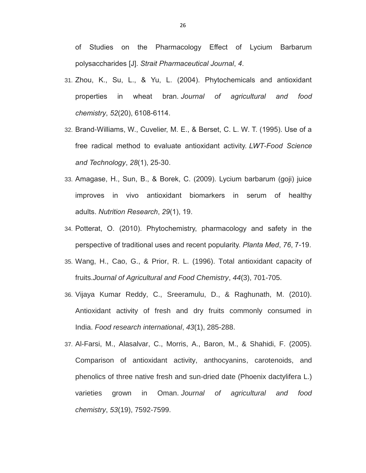of Studies on the Pharmacology Effect of Lycium Barbarum polysaccharides [J]. *Strait Pharmaceutical Journal*, *4*.

- 31. Zhou, K., Su, L., & Yu, L. (2004). Phytochemicals and antioxidant properties in wheat bran. *Journal of agricultural and food chemistry*, *52*(20), 6108-6114.
- 32. Brand-Williams, W., Cuvelier, M. E., & Berset, C. L. W. T. (1995). Use of a free radical method to evaluate antioxidant activity. *LWT-Food Science and Technology*, *28*(1), 25-30.
- 33. Amagase, H., Sun, B., & Borek, C. (2009). Lycium barbarum (goji) juice improves in vivo antioxidant biomarkers in serum of healthy adults. *Nutrition Research*, *29*(1), 19.
- 34. Potterat, O. (2010). Phytochemistry, pharmacology and safety in the perspective of traditional uses and recent popularity. *Planta Med*, *76*, 7-19.
- 35. Wang, H., Cao, G., & Prior, R. L. (1996). Total antioxidant capacity of fruits.*Journal of Agricultural and Food Chemistry*, *44*(3), 701-705.
- 36. Vijaya Kumar Reddy, C., Sreeramulu, D., & Raghunath, M. (2010). Antioxidant activity of fresh and dry fruits commonly consumed in India. *Food research international*, *43*(1), 285-288.
- 37. Al-Farsi, M., Alasalvar, C., Morris, A., Baron, M., & Shahidi, F. (2005). Comparison of antioxidant activity, anthocyanins, carotenoids, and phenolics of three native fresh and sun-dried date (Phoenix dactylifera L.) varieties grown in Oman. *Journal of agricultural and food chemistry*, *53*(19), 7592-7599.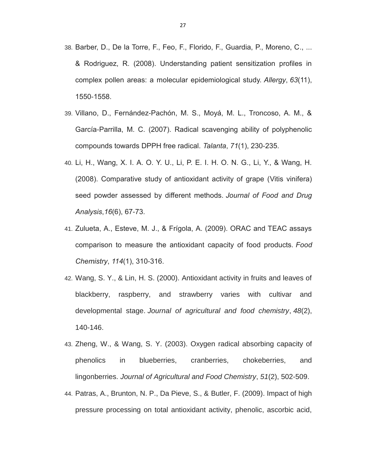- 38. Barber, D., De la Torre, F., Feo, F., Florido, F., Guardia, P., Moreno, C., ... & Rodriguez, R. (2008). Understanding patient sensitization profiles in complex pollen areas: a molecular epidemiological study. *Allergy*, *63*(11), 1550-1558.
- 39. Villano, D., Fernández-Pachón, M. S., Moyá, M. L., Troncoso, A. M., & García-Parrilla, M. C. (2007). Radical scavenging ability of polyphenolic compounds towards DPPH free radical. *Talanta*, *71*(1), 230-235.
- 40. Li, H., Wang, X. I. A. O. Y. U., Li, P. E. I. H. O. N. G., Li, Y., & Wang, H. (2008). Comparative study of antioxidant activity of grape (Vitis vinifera) seed powder assessed by different methods. *Journal of Food and Drug Analysis*,*16*(6), 67-73.
- 41. Zulueta, A., Esteve, M. J., & Frígola, A. (2009). ORAC and TEAC assays comparison to measure the antioxidant capacity of food products. *Food Chemistry*, *114*(1), 310-316.
- 42. Wang, S. Y., & Lin, H. S. (2000). Antioxidant activity in fruits and leaves of blackberry, raspberry, and strawberry varies with cultivar and developmental stage. *Journal of agricultural and food chemistry*, *48*(2), 140-146.
- 43. Zheng, W., & Wang, S. Y. (2003). Oxygen radical absorbing capacity of phenolics in blueberries, cranberries, chokeberries, and lingonberries. *Journal of Agricultural and Food Chemistry*, *51*(2), 502-509.
- 44. Patras, A., Brunton, N. P., Da Pieve, S., & Butler, F. (2009). Impact of high pressure processing on total antioxidant activity, phenolic, ascorbic acid,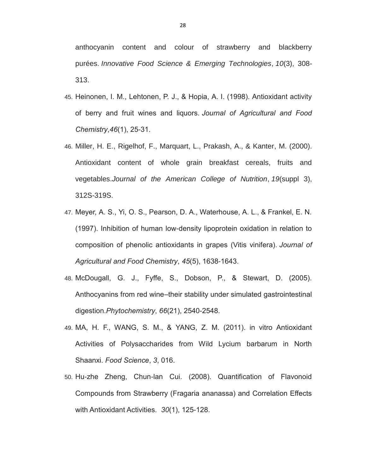anthocyanin content and colour of strawberry and blackberry purées. *Innovative Food Science & Emerging Technologies*, *10*(3), 308- 313.

- 45. Heinonen, I. M., Lehtonen, P. J., & Hopia, A. I. (1998). Antioxidant activity of berry and fruit wines and liquors. *Journal of Agricultural and Food Chemistry*,*46*(1), 25-31.
- 46. Miller, H. E., Rigelhof, F., Marquart, L., Prakash, A., & Kanter, M. (2000). Antioxidant content of whole grain breakfast cereals, fruits and vegetables.*Journal of the American College of Nutrition*, *19*(suppl 3), 312S-319S.
- 47. Meyer, A. S., Yi, O. S., Pearson, D. A., Waterhouse, A. L., & Frankel, E. N. (1997). Inhibition of human low-density lipoprotein oxidation in relation to composition of phenolic antioxidants in grapes (Vitis vinifera). *Journal of Agricultural and Food Chemistry*, *45*(5), 1638-1643.
- 48. McDougall, G. J., Fyffe, S., Dobson, P., & Stewart, D. (2005). Anthocyanins from red wine–their stability under simulated gastrointestinal digestion.*Phytochemistry*, *66*(21), 2540-2548.
- 49. MA, H. F., WANG, S. M., & YANG, Z. M. (2011). in vitro Antioxidant Activities of Polysaccharides from Wild Lycium barbarum in North Shaanxi. *Food Science*, *3*, 016.
- 50. Hu-zhe Zheng, Chun-lan Cui. (2008). Quantification of Flavonoid Compounds from Strawberry (Fragaria ananassa) and Correlation Effects with Antioxidant Activities. *30*(1), 125-128.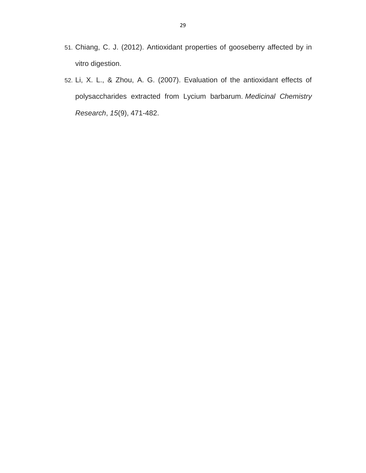- 51. Chiang, C. J. (2012). Antioxidant properties of gooseberry affected by in vitro digestion.
- 52. Li, X. L., & Zhou, A. G. (2007). Evaluation of the antioxidant effects of polysaccharides extracted from Lycium barbarum. *Medicinal Chemistry Research*, *15*(9), 471-482.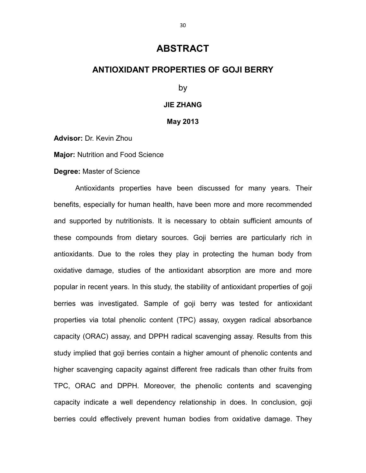### **ABSTRACT**

#### **ANTIOXIDANT PROPERTIES OF GOJI BERRY**

by

#### **JIE ZHANG**

**May 2013**

**Advisor:** Dr. Kevin Zhou

**Major:** Nutrition and Food Science

**Degree:** Master of Science

Antioxidants properties have been discussed for many years. Their benefits, especially for human health, have been more and more recommended and supported by nutritionists. It is necessary to obtain sufficient amounts of these compounds from dietary sources. Goji berries are particularly rich in antioxidants. Due to the roles they play in protecting the human body from oxidative damage, studies of the antioxidant absorption are more and more popular in recent years. In this study, the stability of antioxidant properties of goji berries was investigated. Sample of goji berry was tested for antioxidant properties via total phenolic content (TPC) assay, oxygen radical absorbance capacity (ORAC) assay, and DPPH radical scavenging assay. Results from this study implied that goji berries contain a higher amount of phenolic contents and higher scavenging capacity against different free radicals than other fruits from TPC, ORAC and DPPH. Moreover, the phenolic contents and scavenging capacity indicate a well dependency relationship in does. In conclusion, goji berries could effectively prevent human bodies from oxidative damage. They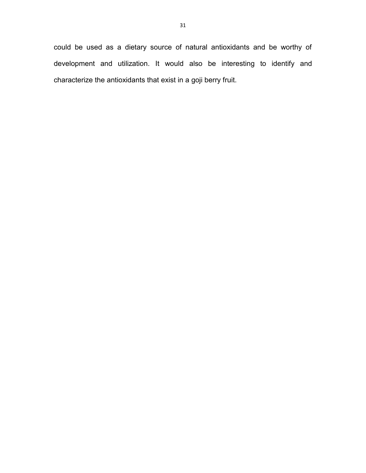could be used as a dietary source of natural antioxidants and be worthy of development and utilization. It would also be interesting to identify and characterize the antioxidants that exist in a goji berry fruit.